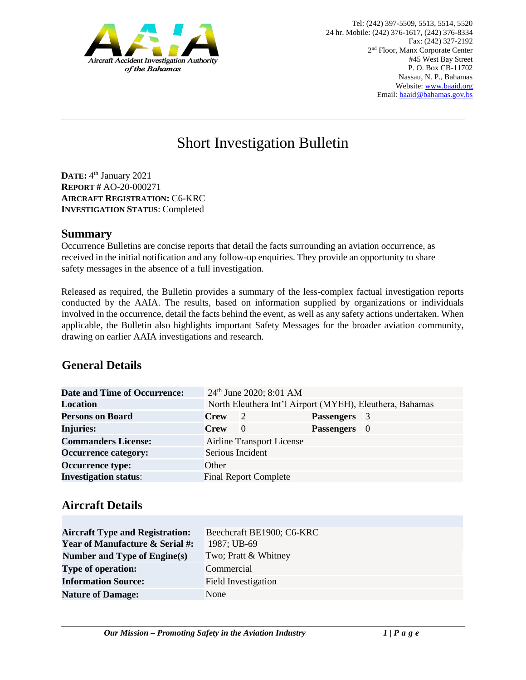

# Short Investigation Bulletin

**DATE:** 4 th January 2021 **REPORT #** AO-20-000271 **AIRCRAFT REGISTRATION:** C6-KRC **INVESTIGATION STATUS**: Completed

#### **Summary**

Occurrence Bulletins are concise reports that detail the facts surrounding an aviation occurrence, as received in the initial notification and any follow-up enquiries. They provide an opportunity to share safety messages in the absence of a full investigation*.* 

Released as required, the Bulletin provides a summary of the less-complex factual investigation reports conducted by the AAIA. The results, based on information supplied by organizations or individuals involved in the occurrence, detail the facts behind the event, as well as any safety actions undertaken. When applicable, the Bulletin also highlights important Safety Messages for the broader aviation community, drawing on earlier AAIA investigations and research.

## **General Details**

| <b>Date and Time of Occurrence:</b> |                  | 24 <sup>th</sup> June 2020; 8:01 AM |                     |                                                          |
|-------------------------------------|------------------|-------------------------------------|---------------------|----------------------------------------------------------|
| <b>Location</b>                     |                  |                                     |                     | North Eleuthera Int'l Airport (MYEH), Eleuthera, Bahamas |
| <b>Persons on Board</b>             | <b>Crew</b>      | $\overline{2}$                      | <b>Passengers</b> 3 |                                                          |
| <b>Injuries:</b>                    | <b>Crew</b>      | 0                                   | Passengers 0        |                                                          |
| <b>Commanders License:</b>          |                  | <b>Airline Transport License</b>    |                     |                                                          |
| <b>Occurrence category:</b>         | Serious Incident |                                     |                     |                                                          |
| <b>Occurrence type:</b>             | Other            |                                     |                     |                                                          |
| <b>Investigation status:</b>        |                  | <b>Final Report Complete</b>        |                     |                                                          |

#### **Aircraft Details**

| <b>Aircraft Type and Registration:</b>     | Beechcraft BE1900; C6-KRC |  |  |
|--------------------------------------------|---------------------------|--|--|
| <b>Year of Manufacture &amp; Serial #:</b> | 1987; UB-69               |  |  |
| Number and Type of Engine(s)               | Two; Pratt & Whitney      |  |  |
| <b>Type of operation:</b>                  | Commercial                |  |  |
| <b>Information Source:</b>                 | Field Investigation       |  |  |
| <b>Nature of Damage:</b>                   | None                      |  |  |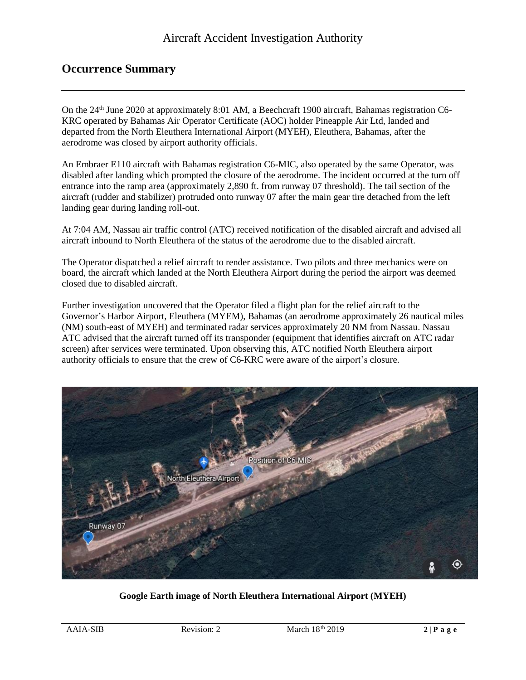### **Occurrence Summary**

On the 24<sup>th</sup> June 2020 at approximately 8:01 AM, a Beechcraft 1900 aircraft, Bahamas registration C6-KRC operated by Bahamas Air Operator Certificate (AOC) holder Pineapple Air Ltd, landed and departed from the North Eleuthera International Airport (MYEH), Eleuthera, Bahamas, after the aerodrome was closed by airport authority officials.

An Embraer E110 aircraft with Bahamas registration C6-MIC, also operated by the same Operator, was disabled after landing which prompted the closure of the aerodrome. The incident occurred at the turn off entrance into the ramp area (approximately 2,890 ft. from runway 07 threshold). The tail section of the aircraft (rudder and stabilizer) protruded onto runway 07 after the main gear tire detached from the left landing gear during landing roll-out.

At 7:04 AM, Nassau air traffic control (ATC) received notification of the disabled aircraft and advised all aircraft inbound to North Eleuthera of the status of the aerodrome due to the disabled aircraft.

The Operator dispatched a relief aircraft to render assistance. Two pilots and three mechanics were on board, the aircraft which landed at the North Eleuthera Airport during the period the airport was deemed closed due to disabled aircraft.

Further investigation uncovered that the Operator filed a flight plan for the relief aircraft to the Governor's Harbor Airport, Eleuthera (MYEM), Bahamas (an aerodrome approximately 26 nautical miles (NM) south-east of MYEH) and terminated radar services approximately 20 NM from Nassau. Nassau ATC advised that the aircraft turned off its transponder (equipment that identifies aircraft on ATC radar screen) after services were terminated. Upon observing this, ATC notified North Eleuthera airport authority officials to ensure that the crew of C6-KRC were aware of the airport's closure.



**Google Earth image of North Eleuthera International Airport (MYEH)**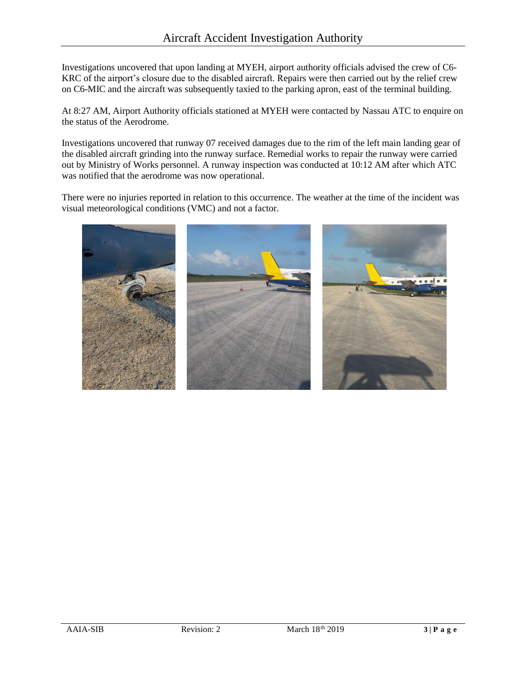Investigations uncovered that upon landing at MYEH, airport authority officials advised the crew of C6- KRC of the airport's closure due to the disabled aircraft. Repairs were then carried out by the relief crew on C6-MIC and the aircraft was subsequently taxied to the parking apron, east of the terminal building.

At 8:27 AM, Airport Authority officials stationed at MYEH were contacted by Nassau ATC to enquire on the status of the Aerodrome.

Investigations uncovered that runway 07 received damages due to the rim of the left main landing gear of the disabled aircraft grinding into the runway surface. Remedial works to repair the runway were carried out by Ministry of Works personnel. A runway inspection was conducted at 10:12 AM after which ATC was notified that the aerodrome was now operational.

There were no injuries reported in relation to this occurrence. The weather at the time of the incident was visual meteorological conditions (VMC) and not a factor.

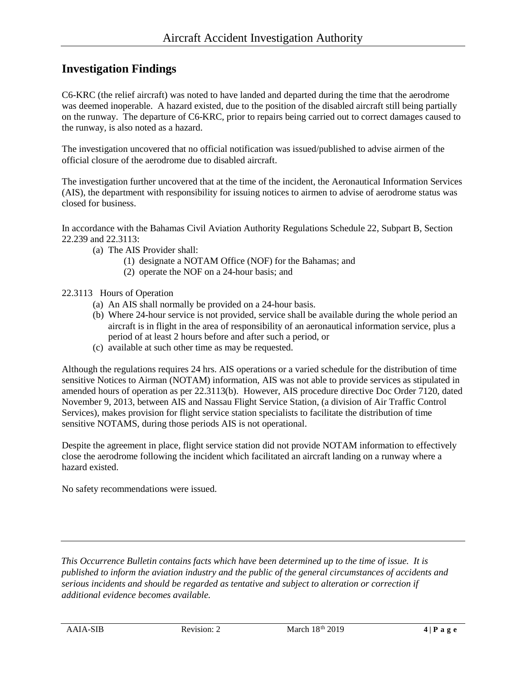### **Investigation Findings**

C6-KRC (the relief aircraft) was noted to have landed and departed during the time that the aerodrome was deemed inoperable. A hazard existed, due to the position of the disabled aircraft still being partially on the runway. The departure of C6-KRC, prior to repairs being carried out to correct damages caused to the runway, is also noted as a hazard.

The investigation uncovered that no official notification was issued/published to advise airmen of the official closure of the aerodrome due to disabled aircraft.

The investigation further uncovered that at the time of the incident, the Aeronautical Information Services (AIS), the department with responsibility for issuing notices to airmen to advise of aerodrome status was closed for business.

In accordance with the Bahamas Civil Aviation Authority Regulations Schedule 22, Subpart B, Section 22.239 and 22.3113:

- (a) The AIS Provider shall:
	- (1) designate a NOTAM Office (NOF) for the Bahamas; and
	- (2) operate the NOF on a 24-hour basis; and
- 22.3113 Hours of Operation
	- (a) An AIS shall normally be provided on a 24-hour basis.
	- (b) Where 24-hour service is not provided, service shall be available during the whole period an aircraft is in flight in the area of responsibility of an aeronautical information service, plus a period of at least 2 hours before and after such a period, or
	- (c) available at such other time as may be requested.

Although the regulations requires 24 hrs. AIS operations or a varied schedule for the distribution of time sensitive Notices to Airman (NOTAM) information, AIS was not able to provide services as stipulated in amended hours of operation as per 22.3113(b). However, AIS procedure directive Doc Order 7120, dated November 9, 2013, between AIS and Nassau Flight Service Station, (a division of Air Traffic Control Services), makes provision for flight service station specialists to facilitate the distribution of time sensitive NOTAMS, during those periods AIS is not operational.

Despite the agreement in place, flight service station did not provide NOTAM information to effectively close the aerodrome following the incident which facilitated an aircraft landing on a runway where a hazard existed.

No safety recommendations were issued.

*This Occurrence Bulletin contains facts which have been determined up to the time of issue. It is published to inform the aviation industry and the public of the general circumstances of accidents and serious incidents and should be regarded as tentative and subject to alteration or correction if additional evidence becomes available.*